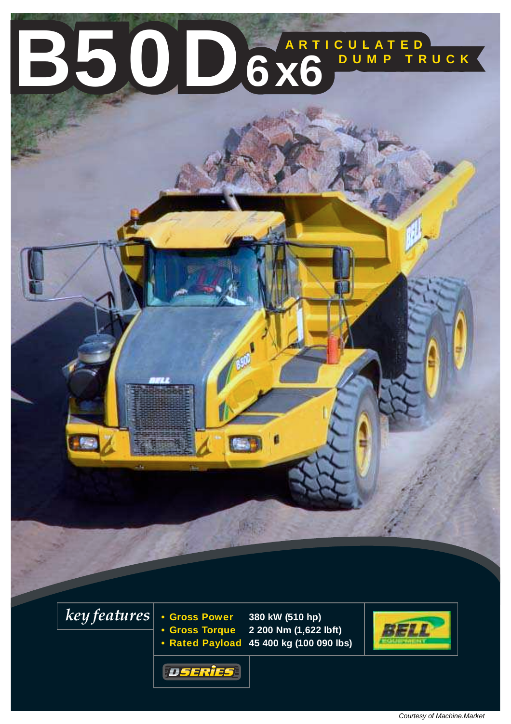# **ARTICULATED B50D6x6**<sup>BUMP TRUCK</sup>

*key features*

**• Gross Power 380 kW (510 hp) • Gross Torque 2 200 Nm (1,622 lbft) • Rated Payload 45 400 kg (100 090 lbs)**



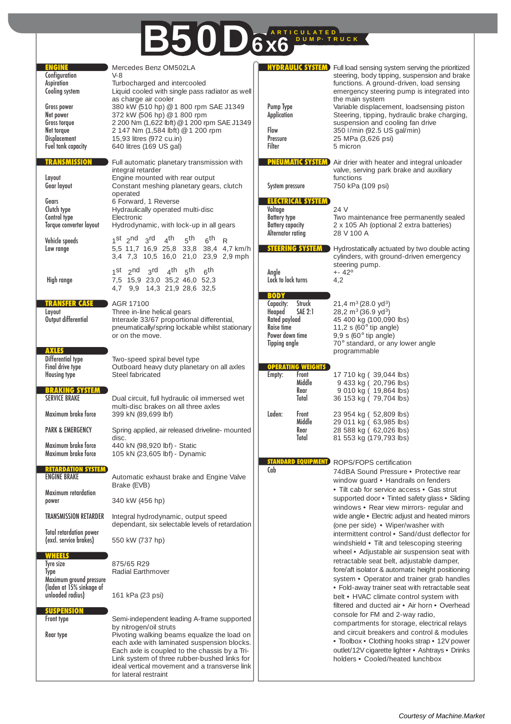### **ARTICULATED B50D**6x6

| <b>ENGINE</b><br>Configuration<br>Aspiration<br>Cooling system<br>Gross power<br>Net power<br>Gross torque<br>Net torque<br><b>Displacement</b><br>Fuel tank capacity | Mercedes Benz OM502LA<br>$V-8$<br>Turbocharged and intercooled<br>Liquid cooled with single pass radiator as well<br>as charge air cooler<br>380 kW (510 hp) @ 1 800 rpm SAE J1349<br>372 kW (506 hp) @ 1 800 rpm<br>2 200 Nm (1,622 lbft) @ 1 200 rpm SAE J1349<br>2 147 Nm (1,584 lbft) @ 1 200 rpm<br>15,93 litres (972 cu.in)<br>640 litres (169 US gal) | <b>HYDRAULIC SYSTEM</b><br>Pump Type<br>Application<br>Flow<br>Pressure<br>Filter                                                        | Full load sensing system serving the prioritized<br>steering, body tipping, suspension and brake<br>functions. A ground-driven, load sensing<br>emergency steering pump is integrated into<br>the main system<br>Variable displacement, loadsensing piston<br>Steering, tipping, hydraulic brake charging,<br>suspension and cooling fan drive<br>350 I/min (92.5 US gal/min)<br>25 MPa (3,626 psi)<br>5 micron |
|-----------------------------------------------------------------------------------------------------------------------------------------------------------------------|--------------------------------------------------------------------------------------------------------------------------------------------------------------------------------------------------------------------------------------------------------------------------------------------------------------------------------------------------------------|------------------------------------------------------------------------------------------------------------------------------------------|-----------------------------------------------------------------------------------------------------------------------------------------------------------------------------------------------------------------------------------------------------------------------------------------------------------------------------------------------------------------------------------------------------------------|
| <b>TRANSMISSION</b><br>Layout                                                                                                                                         | Full automatic planetary transmission with<br>integral retarder<br>Engine mounted with rear output                                                                                                                                                                                                                                                           | <b>PNEUMATIC SYSTEM</b>                                                                                                                  | Air drier with heater and integral unloader<br>valve, serving park brake and auxiliary<br>functions                                                                                                                                                                                                                                                                                                             |
| Gear layout<br>Gears<br>Clutch type<br>Control type<br>Torque converter layout                                                                                        | Constant meshing planetary gears, clutch<br>operated<br>6 Forward, 1 Reverse<br>Hydraulically operated multi-disc<br>Electronic<br>Hydrodynamic, with lock-up in all gears                                                                                                                                                                                   | System pressure<br><b>ELECTRICAL SYSTEM</b><br>Voltage<br><b>Battery type</b><br><b>Battery capacity</b>                                 | 750 kPa (109 psi)<br>24 V<br>Two maintenance free permanently sealed<br>2 x 105 Ah (optional 2 extra batteries)                                                                                                                                                                                                                                                                                                 |
| Vehicle speeds<br>Low range                                                                                                                                           | $_4$ th<br>1st $2^{nd}$ $3^{rd}$<br>5 <sup>th</sup><br>6 <sup>th</sup><br>R<br>5,5 11,7 16,9 25,8 33,8 38,4 4,7 km/h<br>3,4 7,3 10,5 16,0 21,0 23,9 2,9 mph                                                                                                                                                                                                  | Alternator rating<br><b>STEERING SYSTEM</b>                                                                                              | 28 V 100 A<br>Hydrostatically actuated by two double acting<br>cylinders, with ground-driven emergency                                                                                                                                                                                                                                                                                                          |
| High range                                                                                                                                                            | $4th$ $5th$<br>$1$ st $2$ nd<br>$3^{\text{rd}}$<br>6th<br>7,5 15,9 23,0 35,2 46,0 52,3<br>4,7 9,9 14,3 21,9 28,6 32,5                                                                                                                                                                                                                                        | Anale<br>Lock to lock turns                                                                                                              | steering pump.<br>$+ - 42^{\circ}$<br>4,2                                                                                                                                                                                                                                                                                                                                                                       |
| TRANSFER CASE<br>Layout<br>Output differential                                                                                                                        | AGR 17100<br>Three in-line helical gears<br>Interaxle 33/67 proportional differential,<br>pneumatically/spring lockable whilst stationary<br>or on the move.                                                                                                                                                                                                 | <b>BODY</b><br>Struck<br>Capacity:<br><b>SAE 2:1</b><br>Heaped<br>Rated payload<br>Raise time<br>Power down time<br><b>Tipping angle</b> | 21,4 $m^3$ (28.0 yd <sup>3</sup> )<br>28,2 m <sup>3</sup> (36.9 yd <sup>3</sup> )<br>45 400 kg (100,090 lbs)<br>11,2 s (60 $\degree$ tip angle)<br>$9,9$ s (60 $^{\circ}$ tip angle)<br>70° standard, or any lower angle                                                                                                                                                                                        |
| <b>AXLES</b><br>Differential type<br>Final drive type<br><b>Housing type</b>                                                                                          | Two-speed spiral bevel type<br>Outboard heavy duty planetary on all axles<br>Steel fabricated                                                                                                                                                                                                                                                                | <b>OPERATING WEIGHTS</b><br>Front<br>Empty:                                                                                              | programmable<br>17 710 kg (39,044 lbs)                                                                                                                                                                                                                                                                                                                                                                          |
| <b>BRAKING SYSTEM</b><br><b>SERVICE BRAKE</b>                                                                                                                         | Dual circuit, full hydraulic oil immersed wet<br>multi-disc brakes on all three axles                                                                                                                                                                                                                                                                        | Middle<br>Rear<br>Total                                                                                                                  | 9 433 kg (20,796 lbs)<br>9 010 kg (19,864 lbs)<br>36 153 kg (79,704 lbs)                                                                                                                                                                                                                                                                                                                                        |
| Maximum brake force<br><b>PARK &amp; EMERGENCY</b>                                                                                                                    | 399 kN (89,699 lbf)<br>Spring applied, air released driveline- mounted                                                                                                                                                                                                                                                                                       | Laden:<br>Front<br>Middle<br>Rear                                                                                                        | 23 954 kg (52,809 lbs)<br>29 011 kg (63,985 lbs)<br>28 588 kg (62,026 lbs)                                                                                                                                                                                                                                                                                                                                      |
| Maximum brake force<br>Maximum brake force                                                                                                                            | disc.<br>440 kN (98,920 lbf) - Static<br>105 kN (23,605 lbf) - Dynamic                                                                                                                                                                                                                                                                                       | Total                                                                                                                                    | 81 553 kg (179,793 lbs)                                                                                                                                                                                                                                                                                                                                                                                         |
| RETARDATION SYSTEM<br><b>ENGINE BRAKE</b>                                                                                                                             | Automatic exhaust brake and Engine Valve<br>Brake (EVB)                                                                                                                                                                                                                                                                                                      | <b>STANDARD EQUIPMEN</b><br>Cab                                                                                                          | ROPS/FOPS certification<br>74dBA Sound Pressure . Protective rear<br>window guard • Handrails on fenders<br>• Tilt cab for service access • Gas strut                                                                                                                                                                                                                                                           |
| Maximum retardation<br>power                                                                                                                                          | 340 kW (456 hp)                                                                                                                                                                                                                                                                                                                                              |                                                                                                                                          | supported door . Tinted safety glass . Sliding<br>windows • Rear view mirrors- regular and                                                                                                                                                                                                                                                                                                                      |
| TRANSMISSION RETARDER                                                                                                                                                 | Integral hydrodynamic, output speed<br>dependant, six selectable levels of retardation                                                                                                                                                                                                                                                                       |                                                                                                                                          | wide angle . Electric adjust and heated mirrors<br>(one per side) • Wiper/washer with                                                                                                                                                                                                                                                                                                                           |
| <b>Total retardation power</b><br>(excl. service brakes)                                                                                                              | 550 kW (737 hp)                                                                                                                                                                                                                                                                                                                                              |                                                                                                                                          | intermittent control . Sand/dust deflector for<br>windshield • Tilt and telescoping steering                                                                                                                                                                                                                                                                                                                    |
| WHEELS<br>Tyre size<br>Type<br>Maximum ground pressure<br>(laden at 15% sinkage of                                                                                    | 875/65 R29<br><b>Radial Earthmover</b>                                                                                                                                                                                                                                                                                                                       |                                                                                                                                          | wheel • Adjustable air suspension seat with<br>retractable seat belt, adjustable damper,<br>fore/aft isolator & automatic height positioning<br>system • Operator and trainer grab handles<br>• Fold-away trainer seat with retractable seat                                                                                                                                                                    |
| unloaded radius)<br><b>SUSPENSIOI</b><br>Front type                                                                                                                   | 161 kPa (23 psi)<br>Semi-independent leading A-frame supported                                                                                                                                                                                                                                                                                               |                                                                                                                                          | belt • HVAC climate control system with<br>filtered and ducted air • Air horn • Overhead<br>console for FM and 2-way radio,<br>compartments for storage, electrical relays                                                                                                                                                                                                                                      |
| Rear type                                                                                                                                                             | by nitrogen/oil struts<br>Pivoting walking beams equalize the load on<br>each axle with laminated suspension blocks.<br>Each axle is coupled to the chassis by a Tri-<br>Link system of three rubber-bushed links for<br>ideal vertical movement and a transverse link<br>for lateral restraint                                                              |                                                                                                                                          | and circuit breakers and control & modules<br>• Toolbox • Clothing hooks strap • 12V power<br>outlet/12V cigarette lighter · Ashtrays · Drinks<br>holders . Cooled/heated lunchbox                                                                                                                                                                                                                              |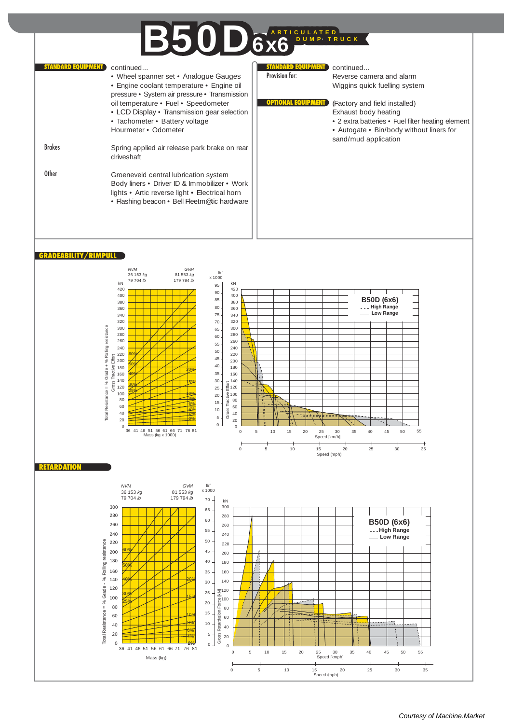## **ARTICULATED B50D**6x6

**D EQUIPMENT** 

continued...

Reverse camera and alarm Wiggins quick fuelling system

(Factory and field installed) Exhaust body heating

sand/mud application

• 2 extra batteries • Fuel filter heating element • Autogate • Bin/body without liners for

| <b>STANDARD EQUIPMENT</b> | continued                                                                             | <b>STANDARD EQUIPMENT</b> |
|---------------------------|---------------------------------------------------------------------------------------|---------------------------|
|                           | • Wheel spanner set • Analogue Gauges                                                 | Provision for:            |
|                           | • Engine coolant temperature • Engine oil                                             |                           |
|                           | pressure • System air pressure • Transmission                                         |                           |
|                           | oil temperature • Fuel • Speedometer                                                  |                           |
|                           | • LCD Display • Transmission gear selection                                           |                           |
|                           | • Tachometer • Battery voltage                                                        |                           |
|                           | Hourmeter • Odometer                                                                  |                           |
|                           |                                                                                       |                           |
| <b>Brakes</b>             | Spring applied air release park brake on rear                                         |                           |
|                           | driveshaft                                                                            |                           |
| <b>Other</b>              |                                                                                       |                           |
|                           | Groeneveld central lubrication system<br>Body liners • Driver ID & Immobilizer • Work |                           |
|                           | lights • Artic reverse light • Electrical horn                                        |                           |
|                           | • Flashing beacon • Bell Fleetm@tic hardware                                          |                           |
|                           |                                                                                       |                           |
|                           |                                                                                       |                           |
|                           |                                                                                       |                           |
|                           |                                                                                       |                           |



 $\overline{0}$ 20 40

 $\overline{\phantom{a}}$ 

36 41 46 51 56 6661 71 76 0% 81 Mass (kg)

8% 6% 4% 10 5  $\mathbf{0}$ 

0 20 40

0 510 15 20 25 30 35 40 45 50 55 Speed [kmph]

0 5 10 15 20 25 30 35<br>Speed (mph)